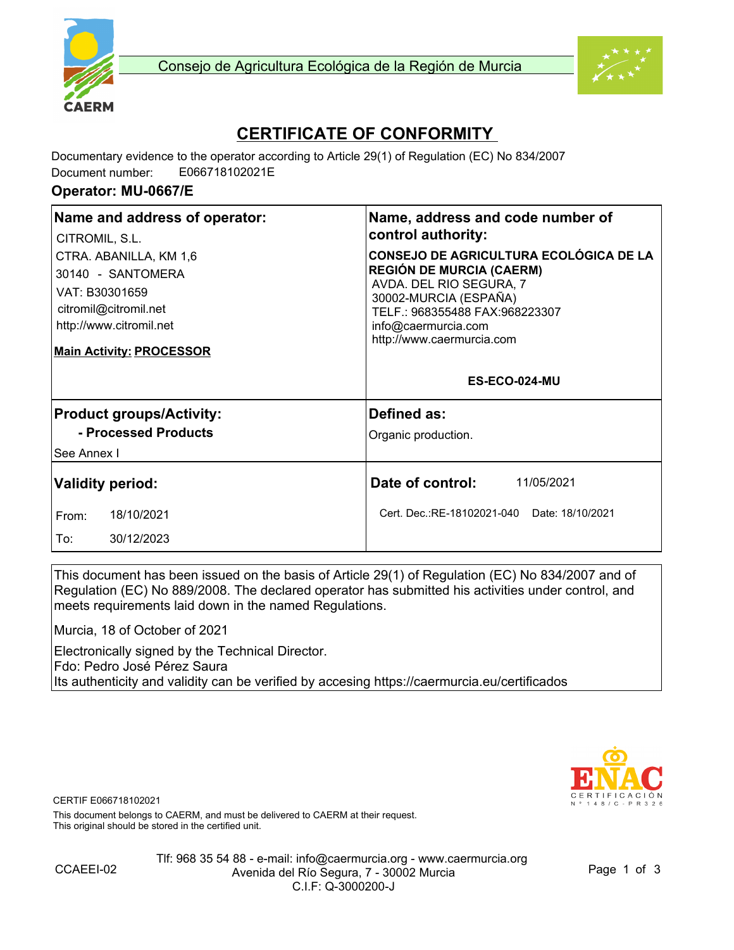



# **CERTIFICATE OF CONFORMITY**

Documentary evidence to the operator according to Article 29(1) of Regulation (EC) No 834/2007 Document number: E066718102021E

#### **Operator: MU-0667/E**

| Name and address of operator:<br>CITROMIL, S.L.                                                                                                      | Name, address and code number of<br>control authority:                                                                                                                                                                     |
|------------------------------------------------------------------------------------------------------------------------------------------------------|----------------------------------------------------------------------------------------------------------------------------------------------------------------------------------------------------------------------------|
| CTRA. ABANILLA, KM 1,6<br>30140 - SANTOMERA<br>VAT: B30301659<br>citromil@citromil.net<br>http://www.citromil.net<br><b>Main Activity: PROCESSOR</b> | <b>CONSEJO DE AGRICULTURA ECOLÓGICA DE LA</b><br><b>REGIÓN DE MURCIA (CAERM)</b><br>AVDA. DEL RIO SEGURA, 7<br>30002-MURCIA (ESPAÑA)<br>TELF.: 968355488 FAX:968223307<br>info@caermurcia.com<br>http://www.caermurcia.com |
|                                                                                                                                                      | ES-ECO-024-MU                                                                                                                                                                                                              |
| <b>Product groups/Activity:</b>                                                                                                                      | Defined as:                                                                                                                                                                                                                |
| - Processed Products                                                                                                                                 | Organic production.                                                                                                                                                                                                        |
| See Annex I                                                                                                                                          |                                                                                                                                                                                                                            |
| <b>Validity period:</b>                                                                                                                              | Date of control:<br>11/05/2021                                                                                                                                                                                             |
| 18/10/2021<br>From:                                                                                                                                  | Cert. Dec.:RE-18102021-040 Date: 18/10/2021                                                                                                                                                                                |
| To:<br>30/12/2023                                                                                                                                    |                                                                                                                                                                                                                            |

This document has been issued on the basis of Article 29(1) of Regulation (EC) No 834/2007 and of Regulation (EC) No 889/2008. The declared operator has submitted his activities under control, and meets requirements laid down in the named Regulations.

Murcia, 18 of October of 2021

Electronically signed by the Technical Director. Fdo: Pedro José Pérez Saura Its authenticity and validity can be verified by accesing https://caermurcia.eu/certificados



CERTIF E066718102021

This document belongs to CAERM, and must be delivered to CAERM at their request. This original should be stored in the certified unit.



Tlf: 968 35 54 88 - e-mail: info@caermurcia.org - www.caermurcia.org Avenida del Río Segura, 7 - 30002 Murcia C.I.F: Q-3000200-J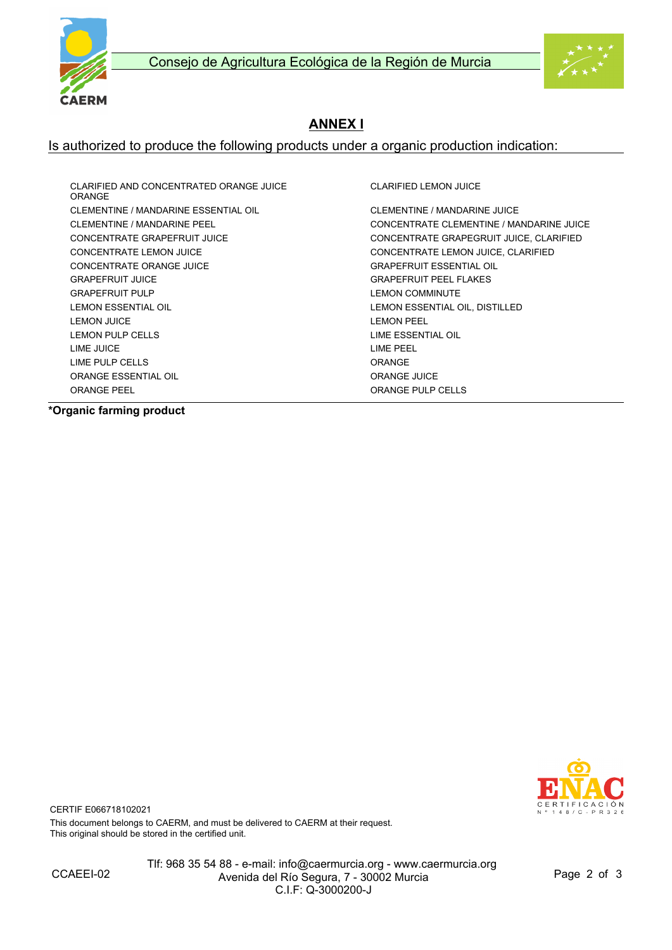



### **ANNEX I**

#### Is authorized to produce the following products under a organic production indication:

CLARIFIED AND CONCENTRATED ORANGE JUICE ORANGE CLEMENTINE / MANDARINE ESSENTIAL OIL CLEMENTINE / MANDARINE JUICE CONCENTRATE LEMON JUICE CONCENTRATE LEMON JUICE, CLARIFIED CONCENTRATE ORANGE JUICE **GRAPEFRUIT ESSENTIAL OIL** GRAPEFRUIT JUICE GRAPEFRUIT PEEL FLAKES GRAPEFRUIT PULP **COMMINISTS** COMMINUTE LEMON ESSENTIAL OIL LEMON ESSENTIAL OIL, DISTILLED LEMON JUICE LEMON PEEL LEMON PULP CELLS LATER SERVICE AND LIME ESSENTIAL OIL LIME JUICE LIME PEEL LIME PULP CELLS ORANGE ORANGE ESSENTIAL OIL **ORANGE ACCEPTS** ORANGE JUICE ORANGE PEEL **ORANGE PULP CELLS** 

CLARIFIED LEMON JUICE

CLEMENTINE / MANDARINE PEEL CONCENTRATE CLEMENTINE / MANDARINE JUICE CONCENTRATE GRAPEFRUIT JUICE CONCENTRATE GRAPEGRUIT JUICE, CLARIFIED

**\*Organic farming product**



CERTIF E066718102021 This document belongs to CAERM, and must be delivered to CAERM at their request. This original should be stored in the certified unit.

Tlf: 968 35 54 88 - e-mail: info@caermurcia.org - www.caermurcia.org Avenida del Río Segura, 7 - 30002 Murcia C.I.F: Q-3000200-J